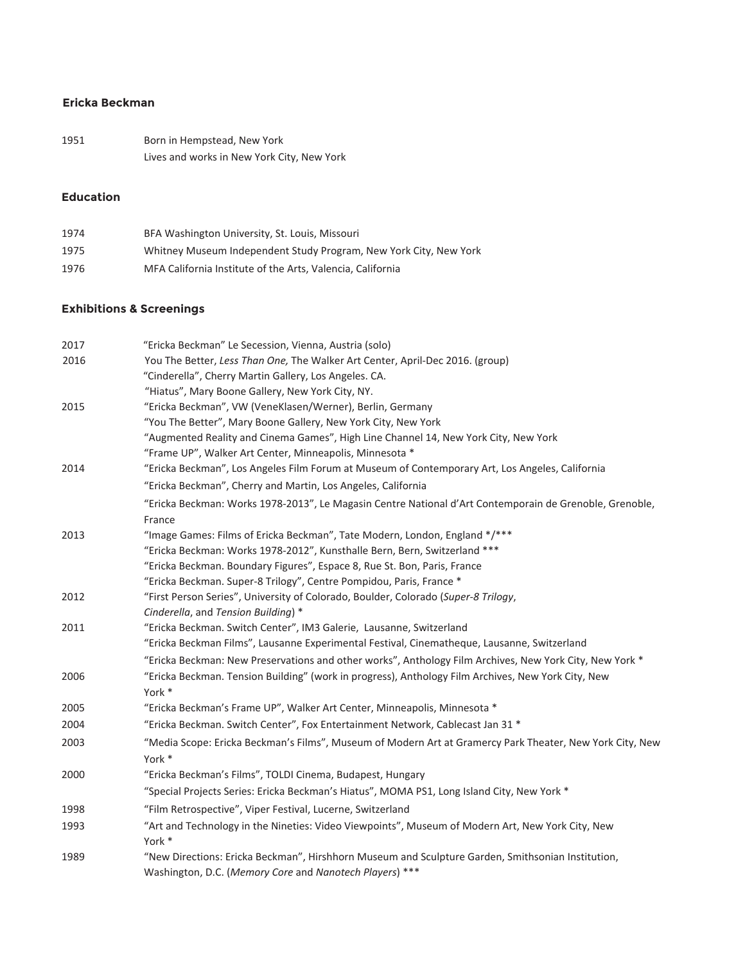## **Ericka Beckman**

| 1951 | Born in Hempstead, New York                |
|------|--------------------------------------------|
|      | Lives and works in New York City, New York |

### **Education**

| 1974 | BFA Washington University, St. Louis, Missouri                    |
|------|-------------------------------------------------------------------|
| 1975 | Whitney Museum Independent Study Program, New York City, New York |
| 1976 | MFA California Institute of the Arts, Valencia, California        |

## **Exhibitions & Screenings**

| 2017 | "Ericka Beckman" Le Secession, Vienna, Austria (solo)                                                                                                        |
|------|--------------------------------------------------------------------------------------------------------------------------------------------------------------|
| 2016 | You The Better, Less Than One, The Walker Art Center, April-Dec 2016. (group)                                                                                |
|      | "Cinderella", Cherry Martin Gallery, Los Angeles. CA.                                                                                                        |
|      | "Hiatus", Mary Boone Gallery, New York City, NY.                                                                                                             |
| 2015 | "Ericka Beckman", VW (VeneKlasen/Werner), Berlin, Germany                                                                                                    |
|      | "You The Better", Mary Boone Gallery, New York City, New York                                                                                                |
|      | "Augmented Reality and Cinema Games", High Line Channel 14, New York City, New York                                                                          |
|      | "Frame UP", Walker Art Center, Minneapolis, Minnesota *                                                                                                      |
| 2014 | "Ericka Beckman", Los Angeles Film Forum at Museum of Contemporary Art, Los Angeles, California                                                              |
|      | "Ericka Beckman", Cherry and Martin, Los Angeles, California                                                                                                 |
|      | "Ericka Beckman: Works 1978-2013", Le Magasin Centre National d'Art Contemporain de Grenoble, Grenoble,                                                      |
|      | France                                                                                                                                                       |
| 2013 | "Image Games: Films of Ericka Beckman", Tate Modern, London, England */***                                                                                   |
|      | "Ericka Beckman: Works 1978-2012", Kunsthalle Bern, Bern, Switzerland ***                                                                                    |
|      | "Ericka Beckman. Boundary Figures", Espace 8, Rue St. Bon, Paris, France                                                                                     |
|      | "Ericka Beckman. Super-8 Trilogy", Centre Pompidou, Paris, France *                                                                                          |
| 2012 | "First Person Series", University of Colorado, Boulder, Colorado (Super-8 Trilogy,                                                                           |
|      | Cinderella, and Tension Building) *                                                                                                                          |
| 2011 | "Ericka Beckman. Switch Center", IM3 Galerie, Lausanne, Switzerland                                                                                          |
|      | "Ericka Beckman Films", Lausanne Experimental Festival, Cinematheque, Lausanne, Switzerland                                                                  |
|      | "Ericka Beckman: New Preservations and other works", Anthology Film Archives, New York City, New York *                                                      |
| 2006 | "Ericka Beckman. Tension Building" (work in progress), Anthology Film Archives, New York City, New                                                           |
|      | York *                                                                                                                                                       |
| 2005 | "Ericka Beckman's Frame UP", Walker Art Center, Minneapolis, Minnesota *                                                                                     |
| 2004 | "Ericka Beckman. Switch Center", Fox Entertainment Network, Cablecast Jan 31 *                                                                               |
| 2003 | "Media Scope: Ericka Beckman's Films", Museum of Modern Art at Gramercy Park Theater, New York City, New                                                     |
|      | York *                                                                                                                                                       |
| 2000 | "Ericka Beckman's Films", TOLDI Cinema, Budapest, Hungary                                                                                                    |
|      | "Special Projects Series: Ericka Beckman's Hiatus", MOMA PS1, Long Island City, New York *                                                                   |
| 1998 | "Film Retrospective", Viper Festival, Lucerne, Switzerland                                                                                                   |
| 1993 | "Art and Technology in the Nineties: Video Viewpoints", Museum of Modern Art, New York City, New<br>York *                                                   |
| 1989 | "New Directions: Ericka Beckman", Hirshhorn Museum and Sculpture Garden, Smithsonian Institution,<br>Washington, D.C. (Memory Core and Nanotech Players) *** |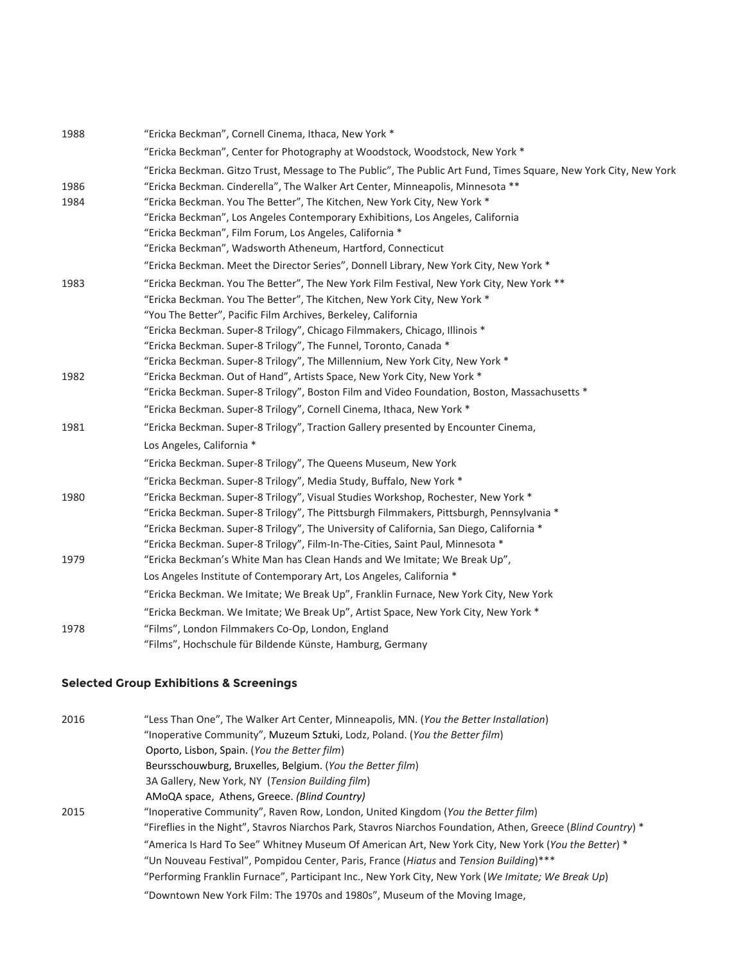| 1988 | "Ericka Beckman", Cornell Cinema, Ithaca, New York *                                                             |
|------|------------------------------------------------------------------------------------------------------------------|
|      | "Ericka Beckman", Center for Photography at Woodstock, Woodstock, New York *                                     |
|      | "Ericka Beckman. Gitzo Trust, Message to The Public", The Public Art Fund, Times Square, New York City, New York |
| 1986 | "Ericka Beckman. Cinderella", The Walker Art Center, Minneapolis, Minnesota **                                   |
| 1984 | "Ericka Beckman. You The Better", The Kitchen, New York City, New York *                                         |
|      | "Ericka Beckman", Los Angeles Contemporary Exhibitions, Los Angeles, California                                  |
|      | "Ericka Beckman", Film Forum, Los Angeles, California *                                                          |
|      | "Ericka Beckman", Wadsworth Atheneum, Hartford, Connecticut                                                      |
|      | "Ericka Beckman. Meet the Director Series", Donnell Library, New York City, New York *                           |
| 1983 | "Ericka Beckman. You The Better", The New York Film Festival, New York City, New York **                         |
|      | "Ericka Beckman. You The Better", The Kitchen, New York City, New York *                                         |
|      | "You The Better", Pacific Film Archives, Berkeley, California                                                    |
|      | "Ericka Beckman. Super-8 Trilogy", Chicago Filmmakers, Chicago, Illinois *                                       |
|      | "Ericka Beckman. Super-8 Trilogy", The Funnel, Toronto, Canada *                                                 |
|      | "Ericka Beckman. Super-8 Trilogy", The Millennium, New York City, New York *                                     |
| 1982 | "Ericka Beckman. Out of Hand", Artists Space, New York City, New York *                                          |
|      | "Ericka Beckman. Super-8 Trilogy", Boston Film and Video Foundation, Boston, Massachusetts *                     |
|      | "Ericka Beckman. Super-8 Trilogy", Cornell Cinema, Ithaca, New York *                                            |
| 1981 | "Ericka Beckman. Super-8 Trilogy", Traction Gallery presented by Encounter Cinema,                               |
|      | Los Angeles, California *                                                                                        |
|      | "Ericka Beckman. Super-8 Trilogy", The Queens Museum, New York                                                   |
|      | "Ericka Beckman. Super-8 Trilogy", Media Study, Buffalo, New York *                                              |
| 1980 | "Ericka Beckman. Super-8 Trilogy", Visual Studies Workshop, Rochester, New York *                                |
|      | "Ericka Beckman. Super-8 Trilogy", The Pittsburgh Filmmakers, Pittsburgh, Pennsylvania *                         |
|      | "Ericka Beckman. Super-8 Trilogy", The University of California, San Diego, California *                         |
|      | "Ericka Beckman. Super-8 Trilogy", Film-In-The-Cities, Saint Paul, Minnesota *                                   |
| 1979 | "Ericka Beckman's White Man has Clean Hands and We Imitate; We Break Up",                                        |
|      | Los Angeles Institute of Contemporary Art, Los Angeles, California *                                             |
|      | "Ericka Beckman. We Imitate; We Break Up", Franklin Furnace, New York City, New York                             |
|      | "Ericka Beckman. We Imitate; We Break Up", Artist Space, New York City, New York *                               |
| 1978 | "Films", London Filmmakers Co-Op, London, England                                                                |
|      | "Films", Hochschule für Bildende Künste, Hamburg, Germany                                                        |
|      |                                                                                                                  |

# **Selected Group Exhibitions & Screenings**

| 2016 | "Less Than One", The Walker Art Center, Minneapolis, MN. (You the Better Installation)                        |
|------|---------------------------------------------------------------------------------------------------------------|
|      | "Inoperative Community", Muzeum Sztuki, Lodz, Poland. (You the Better film)                                   |
|      | Oporto, Lisbon, Spain. (You the Better film)                                                                  |
|      | Beursschouwburg, Bruxelles, Belgium. (You the Better film)                                                    |
|      | 3A Gallery, New York, NY (Tension Building film)                                                              |
|      | AMoQA space, Athens, Greece. (Blind Country)                                                                  |
| 2015 | "Inoperative Community", Raven Row, London, United Kingdom (You the Better film)                              |
|      | "Fireflies in the Night", Stavros Niarchos Park, Stavros Niarchos Foundation, Athen, Greece (Blind Country) * |
|      | "America Is Hard To See" Whitney Museum Of American Art, New York City, New York (You the Better) *           |
|      | "Un Nouveau Festival", Pompidou Center, Paris, France (Hiatus and Tension Building)***                        |
|      | "Performing Franklin Furnace", Participant Inc., New York City, New York (We Imitate; We Break Up)            |
|      | "Downtown New York Film: The 1970s and 1980s", Museum of the Moving Image,                                    |
|      |                                                                                                               |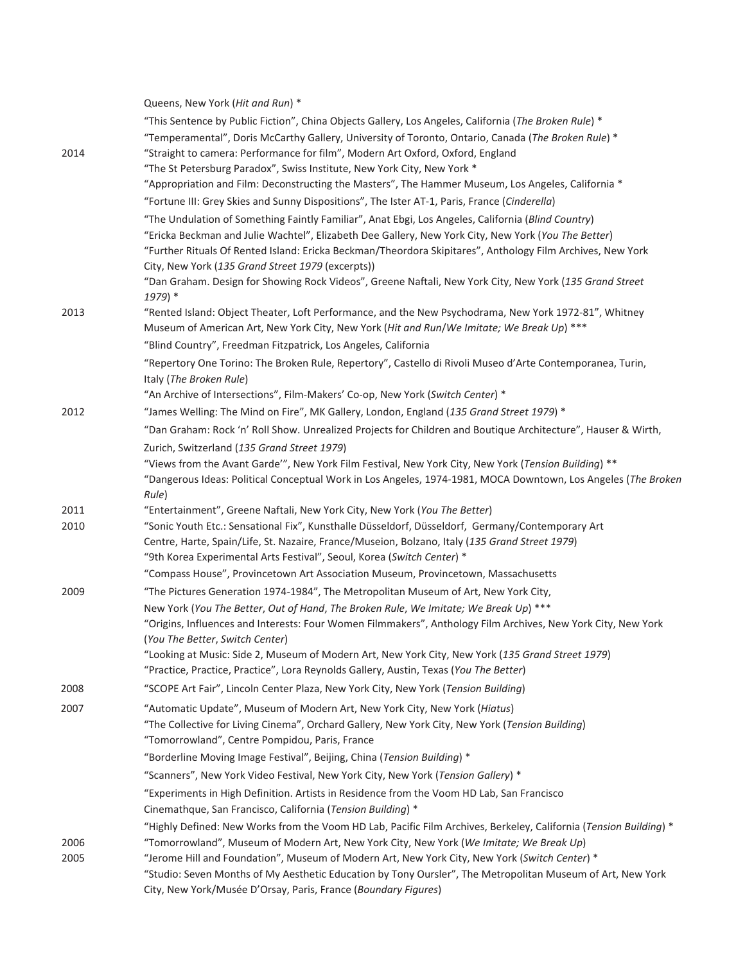|      | Queens, New York (Hit and Run) *                                                                                                                                                                   |
|------|----------------------------------------------------------------------------------------------------------------------------------------------------------------------------------------------------|
|      | "This Sentence by Public Fiction", China Objects Gallery, Los Angeles, California (The Broken Rule) *                                                                                              |
|      | "Temperamental", Doris McCarthy Gallery, University of Toronto, Ontario, Canada (The Broken Rule) *                                                                                                |
| 2014 | "Straight to camera: Performance for film", Modern Art Oxford, Oxford, England                                                                                                                     |
|      | "The St Petersburg Paradox", Swiss Institute, New York City, New York *                                                                                                                            |
|      | "Appropriation and Film: Deconstructing the Masters", The Hammer Museum, Los Angeles, California *                                                                                                 |
|      | "Fortune III: Grey Skies and Sunny Dispositions", The Ister AT-1, Paris, France (Cinderella)                                                                                                       |
|      | "The Undulation of Something Faintly Familiar", Anat Ebgi, Los Angeles, California (Blind Country)                                                                                                 |
|      | "Ericka Beckman and Julie Wachtel", Elizabeth Dee Gallery, New York City, New York (You The Better)                                                                                                |
|      | "Further Rituals Of Rented Island: Ericka Beckman/Theordora Skipitares", Anthology Film Archives, New York                                                                                         |
|      | City, New York (135 Grand Street 1979 (excerpts))                                                                                                                                                  |
|      | "Dan Graham. Design for Showing Rock Videos", Greene Naftali, New York City, New York (135 Grand Street                                                                                            |
|      | 1979) *                                                                                                                                                                                            |
| 2013 | "Rented Island: Object Theater, Loft Performance, and the New Psychodrama, New York 1972-81", Whitney                                                                                              |
|      | Museum of American Art, New York City, New York (Hit and Run/We Imitate; We Break Up) ***                                                                                                          |
|      | "Blind Country", Freedman Fitzpatrick, Los Angeles, California                                                                                                                                     |
|      | "Repertory One Torino: The Broken Rule, Repertory", Castello di Rivoli Museo d'Arte Contemporanea, Turin,                                                                                          |
|      | Italy (The Broken Rule)                                                                                                                                                                            |
|      | "An Archive of Intersections", Film-Makers' Co-op, New York (Switch Center) *                                                                                                                      |
| 2012 | "James Welling: The Mind on Fire", MK Gallery, London, England (135 Grand Street 1979) *                                                                                                           |
|      | "Dan Graham: Rock 'n' Roll Show. Unrealized Projects for Children and Boutique Architecture", Hauser & Wirth,                                                                                      |
|      | Zurich, Switzerland (135 Grand Street 1979)                                                                                                                                                        |
|      | "Views from the Avant Garde"", New York Film Festival, New York City, New York (Tension Building) **                                                                                               |
|      | "Dangerous Ideas: Political Conceptual Work in Los Angeles, 1974-1981, MOCA Downtown, Los Angeles (The Broken                                                                                      |
|      | Rule)                                                                                                                                                                                              |
| 2011 | "Entertainment", Greene Naftali, New York City, New York (You The Better)                                                                                                                          |
| 2010 | "Sonic Youth Etc.: Sensational Fix", Kunsthalle Düsseldorf, Düsseldorf, Germany/Contemporary Art<br>Centre, Harte, Spain/Life, St. Nazaire, France/Museion, Bolzano, Italy (135 Grand Street 1979) |
|      | "9th Korea Experimental Arts Festival", Seoul, Korea (Switch Center) *                                                                                                                             |
|      | "Compass House", Provincetown Art Association Museum, Provincetown, Massachusetts                                                                                                                  |
| 2009 | "The Pictures Generation 1974-1984", The Metropolitan Museum of Art, New York City,                                                                                                                |
|      | New York (You The Better, Out of Hand, The Broken Rule, We Imitate; We Break Up) ***                                                                                                               |
|      | "Origins, Influences and Interests: Four Women Filmmakers", Anthology Film Archives, New York City, New York                                                                                       |
|      | (You The Better, Switch Center)                                                                                                                                                                    |
|      | "Looking at Music: Side 2, Museum of Modern Art, New York City, New York (135 Grand Street 1979)                                                                                                   |
|      | "Practice, Practice, Practice", Lora Reynolds Gallery, Austin, Texas (You The Better)                                                                                                              |
| 2008 | "SCOPE Art Fair", Lincoln Center Plaza, New York City, New York (Tension Building)                                                                                                                 |
| 2007 | "Automatic Update", Museum of Modern Art, New York City, New York (Hiatus)                                                                                                                         |
|      | "The Collective for Living Cinema", Orchard Gallery, New York City, New York (Tension Building)                                                                                                    |
|      | "Tomorrowland", Centre Pompidou, Paris, France                                                                                                                                                     |
|      | "Borderline Moving Image Festival", Beijing, China (Tension Building) *                                                                                                                            |
|      | "Scanners", New York Video Festival, New York City, New York (Tension Gallery) *                                                                                                                   |
|      | "Experiments in High Definition. Artists in Residence from the Voom HD Lab, San Francisco                                                                                                          |
|      | Cinemathque, San Francisco, California (Tension Building) *                                                                                                                                        |
|      | "Highly Defined: New Works from the Voom HD Lab, Pacific Film Archives, Berkeley, California (Tension Building) *                                                                                  |
| 2006 | "Tomorrowland", Museum of Modern Art, New York City, New York (We Imitate; We Break Up)                                                                                                            |
| 2005 | "Jerome Hill and Foundation", Museum of Modern Art, New York City, New York (Switch Center) *                                                                                                      |
|      | "Studio: Seven Months of My Aesthetic Education by Tony Oursler", The Metropolitan Museum of Art, New York                                                                                         |
|      | City, New York/Musée D'Orsay, Paris, France (Boundary Figures)                                                                                                                                     |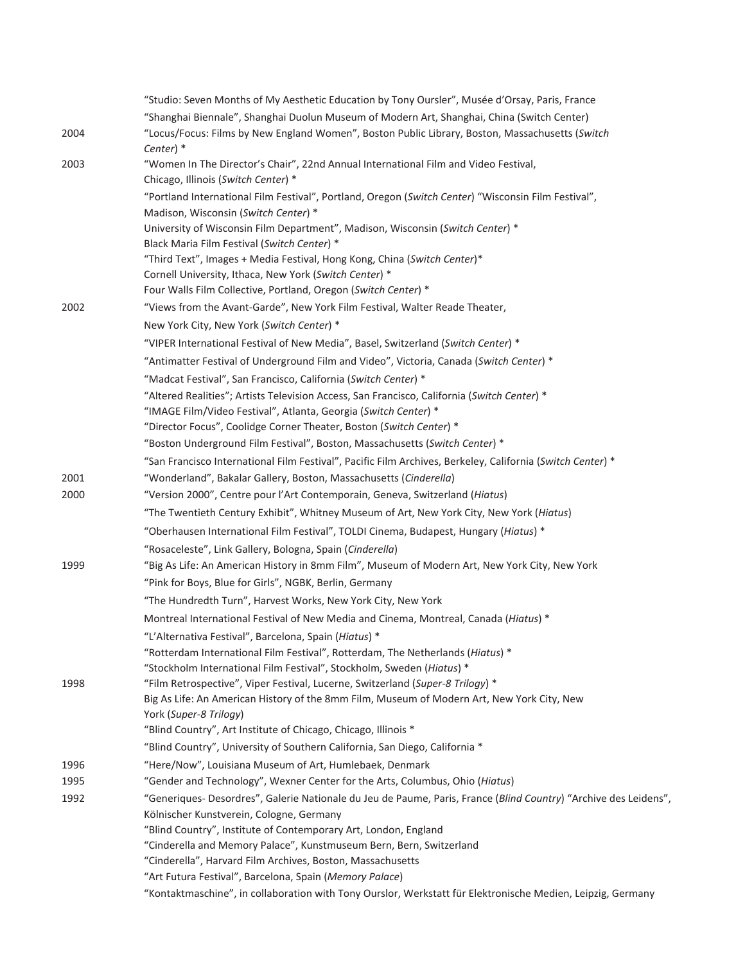|              | "Studio: Seven Months of My Aesthetic Education by Tony Oursler", Musée d'Orsay, Paris, France                                          |
|--------------|-----------------------------------------------------------------------------------------------------------------------------------------|
|              | "Shanghai Biennale", Shanghai Duolun Museum of Modern Art, Shanghai, China (Switch Center)                                              |
| 2004         | "Locus/Focus: Films by New England Women", Boston Public Library, Boston, Massachusetts (Switch<br>Center) *                            |
| 2003         | "Women In The Director's Chair", 22nd Annual International Film and Video Festival,                                                     |
|              | Chicago, Illinois (Switch Center) *                                                                                                     |
|              | "Portland International Film Festival", Portland, Oregon (Switch Center) "Wisconsin Film Festival",                                     |
|              | Madison, Wisconsin (Switch Center) *                                                                                                    |
|              | University of Wisconsin Film Department", Madison, Wisconsin (Switch Center) *                                                          |
|              | Black Maria Film Festival (Switch Center) *                                                                                             |
|              | "Third Text", Images + Media Festival, Hong Kong, China (Switch Center)*                                                                |
|              | Cornell University, Ithaca, New York (Switch Center) *                                                                                  |
|              | Four Walls Film Collective, Portland, Oregon (Switch Center) *                                                                          |
| 2002         | "Views from the Avant-Garde", New York Film Festival, Walter Reade Theater,                                                             |
|              | New York City, New York (Switch Center) *                                                                                               |
|              | "VIPER International Festival of New Media", Basel, Switzerland (Switch Center) *                                                       |
|              | "Antimatter Festival of Underground Film and Video", Victoria, Canada (Switch Center) *                                                 |
|              | "Madcat Festival", San Francisco, California (Switch Center) *                                                                          |
|              | "Altered Realities"; Artists Television Access, San Francisco, California (Switch Center) *                                             |
|              | "IMAGE Film/Video Festival", Atlanta, Georgia (Switch Center) *                                                                         |
|              | "Director Focus", Coolidge Corner Theater, Boston (Switch Center) *                                                                     |
|              | "Boston Underground Film Festival", Boston, Massachusetts (Switch Center) *                                                             |
|              | "San Francisco International Film Festival", Pacific Film Archives, Berkeley, California (Switch Center) *                              |
| 2001         | "Wonderland", Bakalar Gallery, Boston, Massachusetts (Cinderella)                                                                       |
| 2000         | "Version 2000", Centre pour l'Art Contemporain, Geneva, Switzerland (Hiatus)                                                            |
|              | "The Twentieth Century Exhibit", Whitney Museum of Art, New York City, New York (Hiatus)                                                |
|              | "Oberhausen International Film Festival", TOLDI Cinema, Budapest, Hungary (Hiatus) *                                                    |
|              | "Rosaceleste", Link Gallery, Bologna, Spain (Cinderella)                                                                                |
| 1999         | "Big As Life: An American History in 8mm Film", Museum of Modern Art, New York City, New York                                           |
|              | "Pink for Boys, Blue for Girls", NGBK, Berlin, Germany                                                                                  |
|              | "The Hundredth Turn", Harvest Works, New York City, New York                                                                            |
|              | Montreal International Festival of New Media and Cinema, Montreal, Canada (Hiatus) *                                                    |
|              | "L'Alternativa Festival", Barcelona, Spain (Hiatus) *                                                                                   |
|              | "Rotterdam International Film Festival", Rotterdam, The Netherlands (Hiatus) *                                                          |
|              | "Stockholm International Film Festival", Stockholm, Sweden (Hiatus) *                                                                   |
| 1998         | "Film Retrospective", Viper Festival, Lucerne, Switzerland (Super-8 Trilogy) *                                                          |
|              | Big As Life: An American History of the 8mm Film, Museum of Modern Art, New York City, New                                              |
|              | York (Super-8 Trilogy)<br>"Blind Country", Art Institute of Chicago, Chicago, Illinois *                                                |
|              | "Blind Country", University of Southern California, San Diego, California *                                                             |
|              |                                                                                                                                         |
| 1996         | "Here/Now", Louisiana Museum of Art, Humlebaek, Denmark<br>"Gender and Technology", Wexner Center for the Arts, Columbus, Ohio (Hiatus) |
| 1995<br>1992 | "Generiques- Desordres", Galerie Nationale du Jeu de Paume, Paris, France (Blind Country) "Archive des Leidens",                        |
|              | Kölnischer Kunstverein, Cologne, Germany                                                                                                |
|              | "Blind Country", Institute of Contemporary Art, London, England                                                                         |
|              | "Cinderella and Memory Palace", Kunstmuseum Bern, Bern, Switzerland                                                                     |
|              | "Cinderella", Harvard Film Archives, Boston, Massachusetts                                                                              |
|              | "Art Futura Festival", Barcelona, Spain (Memory Palace)                                                                                 |
|              | "Kontaktmaschine", in collaboration with Tony Ourslor, Werkstatt für Elektronische Medien, Leipzig, Germany                             |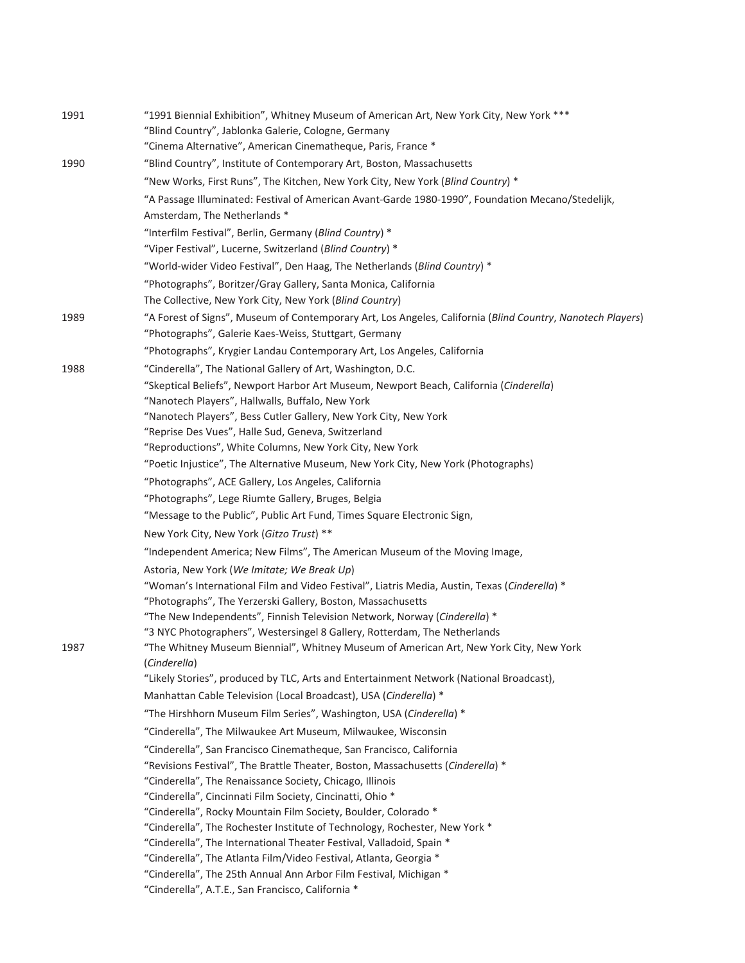| 1991 | "1991 Biennial Exhibition", Whitney Museum of American Art, New York City, New York ***                                                   |
|------|-------------------------------------------------------------------------------------------------------------------------------------------|
|      | "Blind Country", Jablonka Galerie, Cologne, Germany                                                                                       |
|      | "Cinema Alternative", American Cinematheque, Paris, France *                                                                              |
| 1990 | "Blind Country", Institute of Contemporary Art, Boston, Massachusetts                                                                     |
|      | "New Works, First Runs", The Kitchen, New York City, New York (Blind Country) *                                                           |
|      | "A Passage Illuminated: Festival of American Avant-Garde 1980-1990", Foundation Mecano/Stedelijk,                                         |
|      | Amsterdam, The Netherlands *                                                                                                              |
|      | "Interfilm Festival", Berlin, Germany (Blind Country) *                                                                                   |
|      | "Viper Festival", Lucerne, Switzerland (Blind Country) *                                                                                  |
|      | "World-wider Video Festival", Den Haag, The Netherlands (Blind Country) *                                                                 |
|      | "Photographs", Boritzer/Gray Gallery, Santa Monica, California                                                                            |
|      | The Collective, New York City, New York (Blind Country)                                                                                   |
| 1989 | "A Forest of Signs", Museum of Contemporary Art, Los Angeles, California (Blind Country, Nanotech Players)                                |
|      | "Photographs", Galerie Kaes-Weiss, Stuttgart, Germany                                                                                     |
|      | "Photographs", Krygier Landau Contemporary Art, Los Angeles, California                                                                   |
| 1988 | "Cinderella", The National Gallery of Art, Washington, D.C.                                                                               |
|      | "Skeptical Beliefs", Newport Harbor Art Museum, Newport Beach, California (Cinderella)                                                    |
|      | "Nanotech Players", Hallwalls, Buffalo, New York                                                                                          |
|      | "Nanotech Players", Bess Cutler Gallery, New York City, New York<br>"Reprise Des Vues", Halle Sud, Geneva, Switzerland                    |
|      | "Reproductions", White Columns, New York City, New York                                                                                   |
|      | "Poetic Injustice", The Alternative Museum, New York City, New York (Photographs)                                                         |
|      | "Photographs", ACE Gallery, Los Angeles, California                                                                                       |
|      | "Photographs", Lege Riumte Gallery, Bruges, Belgia                                                                                        |
|      | "Message to the Public", Public Art Fund, Times Square Electronic Sign,                                                                   |
|      | New York City, New York (Gitzo Trust) **                                                                                                  |
|      | "Independent America; New Films", The American Museum of the Moving Image,                                                                |
|      | Astoria, New York (We Imitate; We Break Up)                                                                                               |
|      | "Woman's International Film and Video Festival", Liatris Media, Austin, Texas (Cinderella) *                                              |
|      | "Photographs", The Yerzerski Gallery, Boston, Massachusetts                                                                               |
|      | "The New Independents", Finnish Television Network, Norway (Cinderella) *                                                                 |
|      | "3 NYC Photographers", Westersingel 8 Gallery, Rotterdam, The Netherlands                                                                 |
| 1987 | "The Whitney Museum Biennial", Whitney Museum of American Art, New York City, New York                                                    |
|      | (Cinderella)                                                                                                                              |
|      | "Likely Stories", produced by TLC, Arts and Entertainment Network (National Broadcast),                                                   |
|      | Manhattan Cable Television (Local Broadcast), USA (Cinderella) *                                                                          |
|      | "The Hirshhorn Museum Film Series", Washington, USA (Cinderella) *                                                                        |
|      | "Cinderella", The Milwaukee Art Museum, Milwaukee, Wisconsin                                                                              |
|      | "Cinderella", San Francisco Cinematheque, San Francisco, California                                                                       |
|      | "Revisions Festival", The Brattle Theater, Boston, Massachusetts (Cinderella) *                                                           |
|      | "Cinderella", The Renaissance Society, Chicago, Illinois                                                                                  |
|      | "Cinderella", Cincinnati Film Society, Cincinatti, Ohio *                                                                                 |
|      | "Cinderella", Rocky Mountain Film Society, Boulder, Colorado *                                                                            |
|      | "Cinderella", The Rochester Institute of Technology, Rochester, New York *                                                                |
|      | "Cinderella", The International Theater Festival, Valladoid, Spain *<br>"Cinderella", The Atlanta Film/Video Festival, Atlanta, Georgia * |
|      | "Cinderella", The 25th Annual Ann Arbor Film Festival, Michigan *                                                                         |
|      | "Cinderella", A.T.E., San Francisco, California *                                                                                         |
|      |                                                                                                                                           |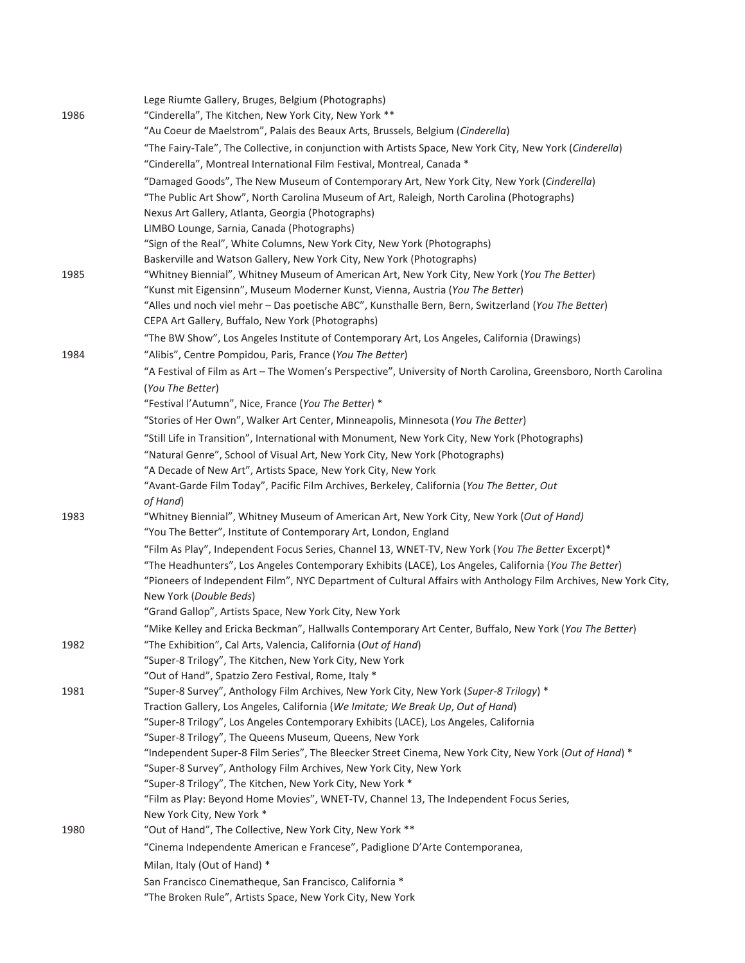| 1986 | Lege Riumte Gallery, Bruges, Belgium (Photographs)<br>"Cinderella", The Kitchen, New York City, New York **<br>"Au Coeur de Maelstrom", Palais des Beaux Arts, Brussels, Belgium (Cinderella)                                                      |
|------|----------------------------------------------------------------------------------------------------------------------------------------------------------------------------------------------------------------------------------------------------|
|      | "The Fairy-Tale", The Collective, in conjunction with Artists Space, New York City, New York (Cinderella)<br>"Cinderella", Montreal International Film Festival, Montreal, Canada *                                                                |
|      | "Damaged Goods", The New Museum of Contemporary Art, New York City, New York (Cinderella)<br>"The Public Art Show", North Carolina Museum of Art, Raleigh, North Carolina (Photographs)                                                            |
|      | Nexus Art Gallery, Atlanta, Georgia (Photographs)<br>LIMBO Lounge, Sarnia, Canada (Photographs)                                                                                                                                                    |
|      | "Sign of the Real", White Columns, New York City, New York (Photographs)                                                                                                                                                                           |
| 1985 | Baskerville and Watson Gallery, New York City, New York (Photographs)<br>"Whitney Biennial", Whitney Museum of American Art, New York City, New York (You The Better)                                                                              |
|      | "Kunst mit Eigensinn", Museum Moderner Kunst, Vienna, Austria (You The Better)                                                                                                                                                                     |
|      | "Alles und noch viel mehr - Das poetische ABC", Kunsthalle Bern, Bern, Switzerland (You The Better)<br>CEPA Art Gallery, Buffalo, New York (Photographs)                                                                                           |
|      | "The BW Show", Los Angeles Institute of Contemporary Art, Los Angeles, California (Drawings)                                                                                                                                                       |
| 1984 | "Alibis", Centre Pompidou, Paris, France (You The Better)                                                                                                                                                                                          |
|      | "A Festival of Film as Art - The Women's Perspective", University of North Carolina, Greensboro, North Carolina<br>(You The Better)                                                                                                                |
|      | "Festival l'Autumn", Nice, France (You The Better) *                                                                                                                                                                                               |
|      | "Stories of Her Own", Walker Art Center, Minneapolis, Minnesota (You The Better)                                                                                                                                                                   |
|      | "Still Life in Transition", International with Monument, New York City, New York (Photographs)                                                                                                                                                     |
|      | "Natural Genre", School of Visual Art, New York City, New York (Photographs)                                                                                                                                                                       |
|      | "A Decade of New Art", Artists Space, New York City, New York                                                                                                                                                                                      |
|      | "Avant-Garde Film Today", Pacific Film Archives, Berkeley, California (You The Better, Out<br>of Hand)                                                                                                                                             |
| 1983 | "Whitney Biennial", Whitney Museum of American Art, New York City, New York (Out of Hand)                                                                                                                                                          |
|      | "You The Better", Institute of Contemporary Art, London, England                                                                                                                                                                                   |
|      | "Film As Play", Independent Focus Series, Channel 13, WNET-TV, New York (You The Better Excerpt)*                                                                                                                                                  |
|      | "The Headhunters", Los Angeles Contemporary Exhibits (LACE), Los Angeles, California (You The Better)<br>"Pioneers of Independent Film", NYC Department of Cultural Affairs with Anthology Film Archives, New York City,<br>New York (Double Beds) |
|      | "Grand Gallop", Artists Space, New York City, New York                                                                                                                                                                                             |
|      | "Mike Kelley and Ericka Beckman", Hallwalls Contemporary Art Center, Buffalo, New York (You The Better)                                                                                                                                            |
| 1982 | "The Exhibition", Cal Arts, Valencia, California (Out of Hand)                                                                                                                                                                                     |
|      | "Super-8 Trilogy", The Kitchen, New York City, New York                                                                                                                                                                                            |
| 1981 | "Out of Hand", Spatzio Zero Festival, Rome, Italy *<br>"Super-8 Survey", Anthology Film Archives, New York City, New York (Super-8 Trilogy) *                                                                                                      |
|      | Traction Gallery, Los Angeles, California (We Imitate; We Break Up, Out of Hand)                                                                                                                                                                   |
|      | "Super-8 Trilogy", Los Angeles Contemporary Exhibits (LACE), Los Angeles, California                                                                                                                                                               |
|      | "Super-8 Trilogy", The Queens Museum, Queens, New York                                                                                                                                                                                             |
|      | "Independent Super-8 Film Series", The Bleecker Street Cinema, New York City, New York (Out of Hand) *                                                                                                                                             |
|      | "Super-8 Survey", Anthology Film Archives, New York City, New York<br>"Super-8 Trilogy", The Kitchen, New York City, New York *                                                                                                                    |
|      | "Film as Play: Beyond Home Movies", WNET-TV, Channel 13, The Independent Focus Series,                                                                                                                                                             |
|      | New York City, New York *                                                                                                                                                                                                                          |
| 1980 | "Out of Hand", The Collective, New York City, New York **                                                                                                                                                                                          |
|      | "Cinema Independente American e Francese", Padiglione D'Arte Contemporanea,                                                                                                                                                                        |
|      | Milan, Italy (Out of Hand) *                                                                                                                                                                                                                       |
|      | San Francisco Cinematheque, San Francisco, California *                                                                                                                                                                                            |
|      | "The Broken Rule", Artists Space, New York City, New York                                                                                                                                                                                          |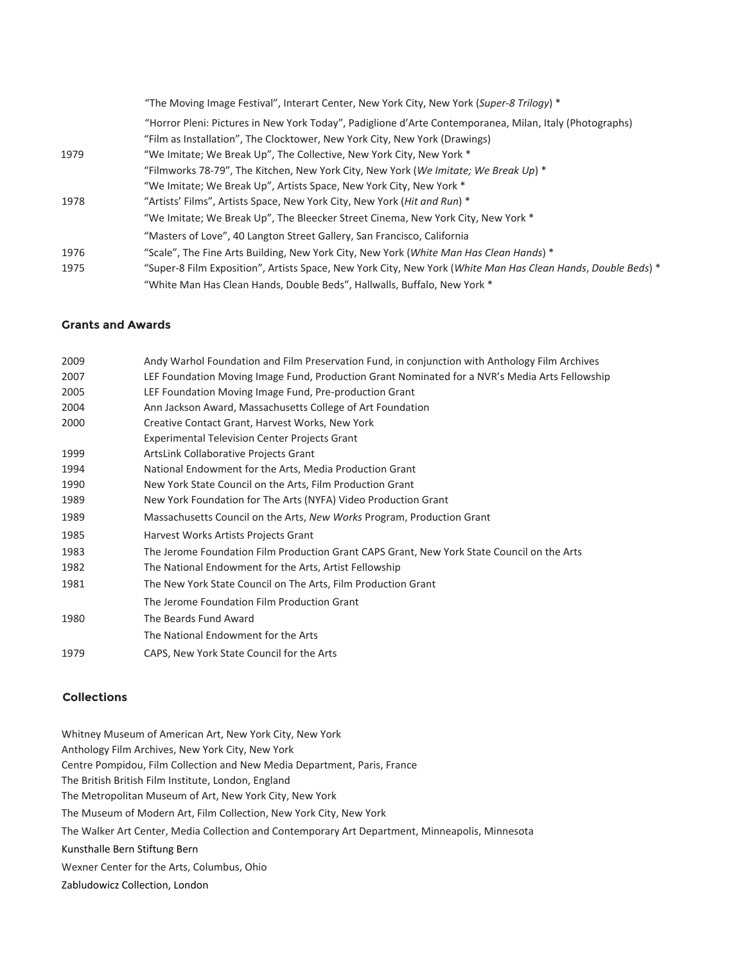|      | "The Moving Image Festival", Interart Center, New York City, New York (Super-8 Trilogy) *                    |
|------|--------------------------------------------------------------------------------------------------------------|
|      | "Horror Pleni: Pictures in New York Today", Padiglione d'Arte Contemporanea, Milan, Italy (Photographs)      |
|      | "Film as Installation", The Clocktower, New York City, New York (Drawings)                                   |
| 1979 | "We Imitate; We Break Up", The Collective, New York City, New York *                                         |
|      | "Filmworks 78-79", The Kitchen, New York City, New York (We Imitate; We Break Up) $*$                        |
|      | "We Imitate; We Break Up", Artists Space, New York City, New York *                                          |
| 1978 | "Artists' Films", Artists Space, New York City, New York ( <i>Hit and Run</i> ) *                            |
|      | "We Imitate; We Break Up", The Bleecker Street Cinema, New York City, New York *                             |
|      | "Masters of Love", 40 Langton Street Gallery, San Francisco, California                                      |
| 1976 | "Scale", The Fine Arts Building, New York City, New York (White Man Has Clean Hands) *                       |
| 1975 | "Super-8 Film Exposition", Artists Space, New York City, New York (White Man Has Clean Hands, Double Beds) * |
|      | "White Man Has Clean Hands, Double Beds", Hallwalls, Buffalo, New York *                                     |

#### **Grants and Awards**

| 2009 | Andy Warhol Foundation and Film Preservation Fund, in conjunction with Anthology Film Archives |
|------|------------------------------------------------------------------------------------------------|
| 2007 | LEF Foundation Moving Image Fund, Production Grant Nominated for a NVR's Media Arts Fellowship |
| 2005 | LEF Foundation Moving Image Fund, Pre-production Grant                                         |
| 2004 | Ann Jackson Award, Massachusetts College of Art Foundation                                     |
| 2000 | Creative Contact Grant, Harvest Works, New York                                                |
|      | <b>Experimental Television Center Projects Grant</b>                                           |
| 1999 | ArtsLink Collaborative Projects Grant                                                          |
| 1994 | National Endowment for the Arts, Media Production Grant                                        |
| 1990 | New York State Council on the Arts, Film Production Grant                                      |
| 1989 | New York Foundation for The Arts (NYFA) Video Production Grant                                 |
| 1989 | Massachusetts Council on the Arts, New Works Program, Production Grant                         |
| 1985 | Harvest Works Artists Projects Grant                                                           |
| 1983 | The Jerome Foundation Film Production Grant CAPS Grant, New York State Council on the Arts     |
| 1982 | The National Endowment for the Arts, Artist Fellowship                                         |
| 1981 | The New York State Council on The Arts, Film Production Grant                                  |
|      | The Jerome Foundation Film Production Grant                                                    |
| 1980 | The Beards Fund Award                                                                          |
|      | The National Endowment for the Arts                                                            |
| 1979 | CAPS, New York State Council for the Arts                                                      |
|      |                                                                                                |

#### **Collections**

Whitney Museum of American Art, New York City, New York Anthology Film Archives, New York City, New York Centre Pompidou, Film Collection and New Media Department, Paris, France The British British Film Institute, London, England The Metropolitan Museum of Art, New York City, New York The Museum of Modern Art, Film Collection, New York City, New York The Walker Art Center, Media Collection and Contemporary Art Department, Minneapolis, Minnesota Kunsthalle Bern Stiftung Bern Wexner Center for the Arts, Columbus, Ohio Zabludowicz Collection, London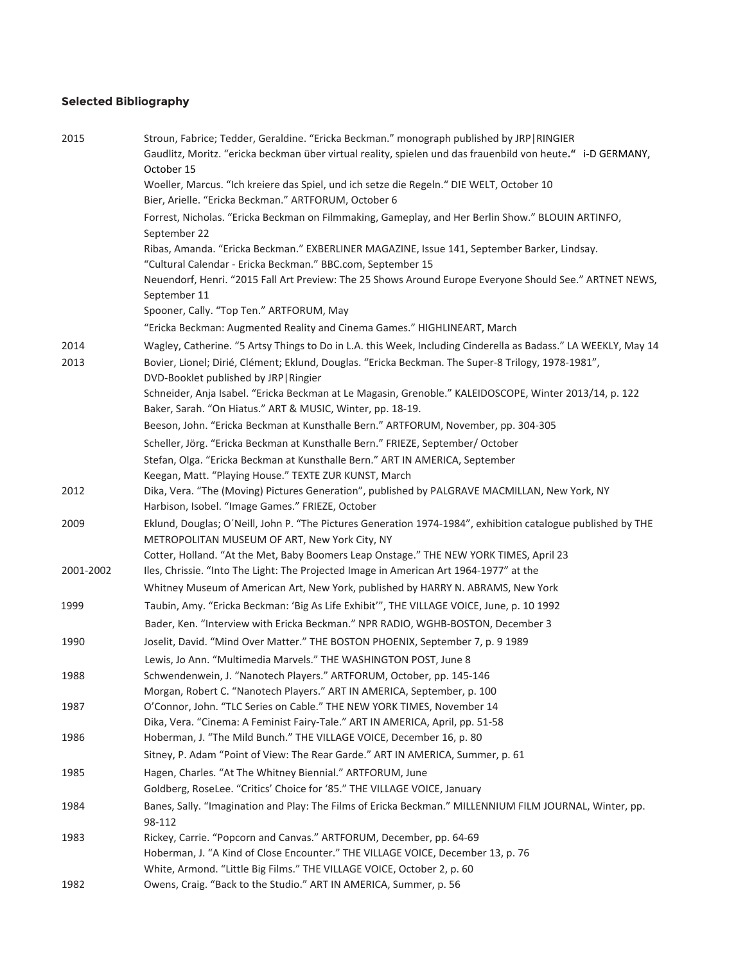# **Selected Bibliography**

| 2015      | Stroun, Fabrice; Tedder, Geraldine. "Ericka Beckman." monograph published by JRP   RINGIER<br>Gaudlitz, Moritz. "ericka beckman über virtual reality, spielen und das frauenbild von heute." i-D GERMANY,<br>October 15 |
|-----------|-------------------------------------------------------------------------------------------------------------------------------------------------------------------------------------------------------------------------|
|           | Woeller, Marcus. "Ich kreiere das Spiel, und ich setze die Regeln." DIE WELT, October 10<br>Bier, Arielle. "Ericka Beckman." ARTFORUM, October 6                                                                        |
|           | Forrest, Nicholas. "Ericka Beckman on Filmmaking, Gameplay, and Her Berlin Show." BLOUIN ARTINFO,<br>September 22                                                                                                       |
|           | Ribas, Amanda. "Ericka Beckman." EXBERLINER MAGAZINE, Issue 141, September Barker, Lindsay.<br>"Cultural Calendar - Ericka Beckman." BBC.com, September 15                                                              |
|           | Neuendorf, Henri. "2015 Fall Art Preview: The 25 Shows Around Europe Everyone Should See." ARTNET NEWS,<br>September 11                                                                                                 |
|           | Spooner, Cally. "Top Ten." ARTFORUM, May                                                                                                                                                                                |
|           | "Ericka Beckman: Augmented Reality and Cinema Games." HIGHLINEART, March                                                                                                                                                |
| 2014      | Wagley, Catherine. "5 Artsy Things to Do in L.A. this Week, Including Cinderella as Badass." LA WEEKLY, May 14                                                                                                          |
| 2013      | Bovier, Lionel; Dirié, Clément; Eklund, Douglas. "Ericka Beckman. The Super-8 Trilogy, 1978-1981",<br>DVD-Booklet published by JRP   Ringier                                                                            |
|           | Schneider, Anja Isabel. "Ericka Beckman at Le Magasin, Grenoble." KALEIDOSCOPE, Winter 2013/14, p. 122<br>Baker, Sarah. "On Hiatus." ART & MUSIC, Winter, pp. 18-19.                                                    |
|           | Beeson, John. "Ericka Beckman at Kunsthalle Bern." ARTFORUM, November, pp. 304-305                                                                                                                                      |
|           | Scheller, Jörg. "Ericka Beckman at Kunsthalle Bern." FRIEZE, September/ October                                                                                                                                         |
|           | Stefan, Olga. "Ericka Beckman at Kunsthalle Bern." ART IN AMERICA, September                                                                                                                                            |
|           | Keegan, Matt. "Playing House." TEXTE ZUR KUNST, March                                                                                                                                                                   |
| 2012      | Dika, Vera. "The (Moving) Pictures Generation", published by PALGRAVE MACMILLAN, New York, NY<br>Harbison, Isobel. "Image Games." FRIEZE, October                                                                       |
| 2009      | Eklund, Douglas; O'Neill, John P. "The Pictures Generation 1974-1984", exhibition catalogue published by THE<br>METROPOLITAN MUSEUM OF ART, New York City, NY                                                           |
|           | Cotter, Holland. "At the Met, Baby Boomers Leap Onstage." THE NEW YORK TIMES, April 23                                                                                                                                  |
| 2001-2002 | Iles, Chrissie. "Into The Light: The Projected Image in American Art 1964-1977" at the                                                                                                                                  |
|           | Whitney Museum of American Art, New York, published by HARRY N. ABRAMS, New York                                                                                                                                        |
| 1999      | Taubin, Amy. "Ericka Beckman: 'Big As Life Exhibit'", THE VILLAGE VOICE, June, p. 10 1992                                                                                                                               |
|           | Bader, Ken. "Interview with Ericka Beckman." NPR RADIO, WGHB-BOSTON, December 3                                                                                                                                         |
| 1990      | Joselit, David. "Mind Over Matter." THE BOSTON PHOENIX, September 7, p. 9 1989                                                                                                                                          |
|           | Lewis, Jo Ann. "Multimedia Marvels." THE WASHINGTON POST, June 8                                                                                                                                                        |
| 1988      | Schwendenwein, J. "Nanotech Players." ARTFORUM, October, pp. 145-146                                                                                                                                                    |
|           | Morgan, Robert C. "Nanotech Players." ART IN AMERICA, September, p. 100                                                                                                                                                 |
| 1987      | O'Connor, John. "TLC Series on Cable." THE NEW YORK TIMES, November 14                                                                                                                                                  |
|           | Dika, Vera. "Cinema: A Feminist Fairy-Tale." ART IN AMERICA, April, pp. 51-58                                                                                                                                           |
| 1986      | Hoberman, J. "The Mild Bunch." THE VILLAGE VOICE, December 16, p. 80                                                                                                                                                    |
|           | Sitney, P. Adam "Point of View: The Rear Garde." ART IN AMERICA, Summer, p. 61                                                                                                                                          |
| 1985      | Hagen, Charles. "At The Whitney Biennial." ARTFORUM, June                                                                                                                                                               |
|           | Goldberg, RoseLee. "Critics' Choice for '85." THE VILLAGE VOICE, January                                                                                                                                                |
| 1984      | Banes, Sally. "Imagination and Play: The Films of Ericka Beckman." MILLENNIUM FILM JOURNAL, Winter, pp.<br>98-112                                                                                                       |
| 1983      | Rickey, Carrie. "Popcorn and Canvas." ARTFORUM, December, pp. 64-69                                                                                                                                                     |
|           | Hoberman, J. "A Kind of Close Encounter." THE VILLAGE VOICE, December 13, p. 76                                                                                                                                         |
|           | White, Armond. "Little Big Films." THE VILLAGE VOICE, October 2, p. 60                                                                                                                                                  |
| 1982      | Owens, Craig. "Back to the Studio." ART IN AMERICA, Summer, p. 56                                                                                                                                                       |